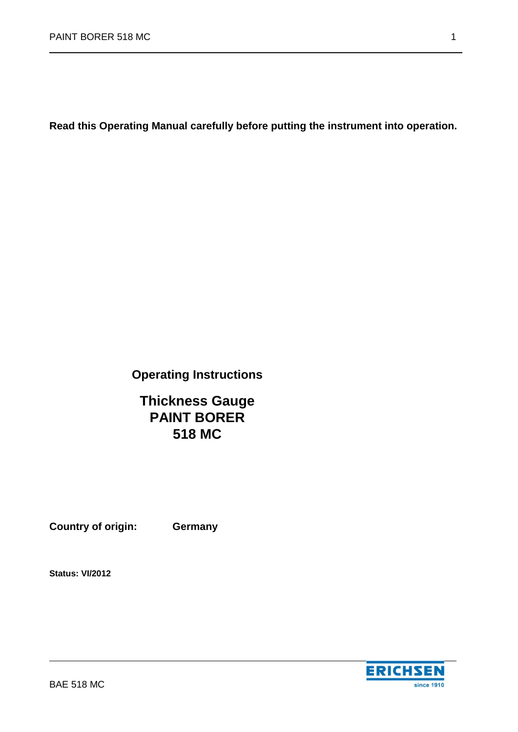**Read this Operating Manual carefully before putting the instrument into operation.**

# **Operating Instructions**

# **Thickness Gauge PAINT BORER 518 MC**

**Country of origin: Germany**

**Status: VI/2012**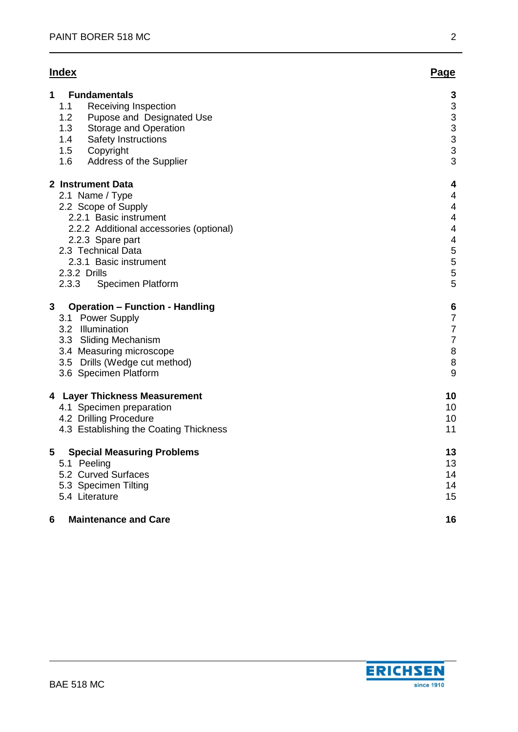# **Index Page**

| 1<br><b>Fundamentals</b><br><b>Receiving Inspection</b><br>1.1<br>1.2<br>Pupose and Designated Use<br>1.3<br>Storage and Operation<br>1.4<br>Safety Instructions<br>1.5<br>Copyright<br>1.6<br>Address of the Supplier                             | 3<br>3<br>3<br>3<br>3<br>3<br>3                                                                                 |
|----------------------------------------------------------------------------------------------------------------------------------------------------------------------------------------------------------------------------------------------------|-----------------------------------------------------------------------------------------------------------------|
| 2 Instrument Data<br>2.1 Name / Type<br>2.2 Scope of Supply<br>2.2.1 Basic instrument<br>2.2.2 Additional accessories (optional)<br>2.2.3 Spare part<br>2.3 Technical Data<br>2.3.1 Basic instrument<br>2.3.2 Drills<br>2.3.3<br>Specimen Platform | 4<br>$\overline{4}$<br>$\overline{4}$<br>$\overline{4}$<br>$\overline{4}$<br>$\overline{4}$<br>5<br>5<br>5<br>5 |
| 3<br><b>Operation - Function - Handling</b><br>3.1 Power Supply<br>3.2 Illumination<br>3.3 Sliding Mechanism<br>3.4 Measuring microscope<br>3.5 Drills (Wedge cut method)<br>3.6 Specimen Platform                                                 | 6<br>$\overline{7}$<br>$\overline{7}$<br>$\overline{7}$<br>8<br>8<br>9                                          |
| 4 Layer Thickness Measurement<br>4.1 Specimen preparation<br>4.2 Drilling Procedure<br>4.3 Establishing the Coating Thickness                                                                                                                      | 10<br>10<br>10<br>11                                                                                            |
| <b>Special Measuring Problems</b><br>5<br>5.1 Peeling<br>5.2 Curved Surfaces<br>5.3 Specimen Tilting<br>5.4 Literature                                                                                                                             | 13<br>13<br>14<br>14<br>15                                                                                      |
| <b>Maintenance and Care</b><br>6                                                                                                                                                                                                                   | 16                                                                                                              |

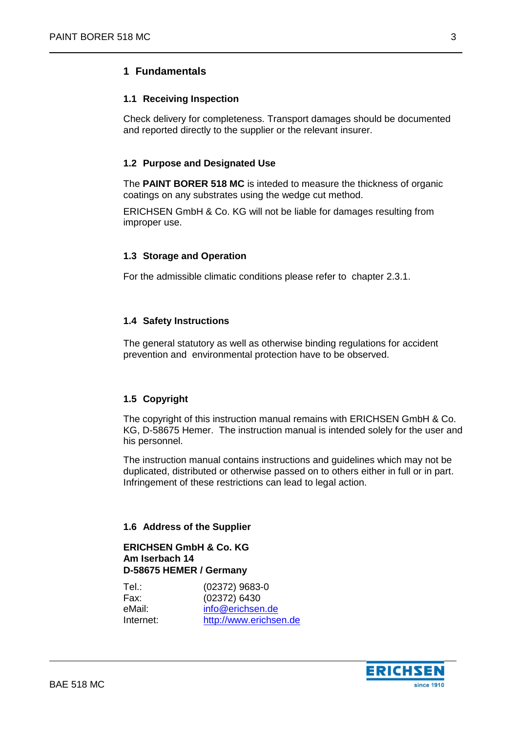# <span id="page-2-1"></span><span id="page-2-0"></span>**1 Fundamentals**

## **1.1 Receiving Inspection**

Check delivery for completeness. Transport damages should be documented and reported directly to the supplier or the relevant insurer.

# <span id="page-2-2"></span>**1.2 Purpose and Designated Use**

The **PAINT BORER 518 MC** is inteded to measure the thickness of organic coatings on any substrates using the wedge cut method.

ERICHSEN GmbH & Co. KG will not be liable for damages resulting from improper use.

#### <span id="page-2-3"></span>**1.3 Storage and Operation**

For the admissible climatic conditions please refer to chapter 2.3.1.

#### <span id="page-2-4"></span>**1.4 Safety Instructions**

The general statutory as well as otherwise binding regulations for accident prevention and environmental protection have to be observed.

# <span id="page-2-5"></span>**1.5 Copyright**

The copyright of this instruction manual remains with ERICHSEN GmbH & Co. KG, D-58675 Hemer. The instruction manual is intended solely for the user and his personnel.

The instruction manual contains instructions and guidelines which may not be duplicated, distributed or otherwise passed on to others either in full or in part. Infringement of these restrictions can lead to legal action.

#### <span id="page-2-6"></span>**1.6 Address of the Supplier**

## **ERICHSEN GmbH & Co. KG Am Iserbach 14 D-58675 HEMER / Germany**

| Tel.∶     | (02372) 9683-0         |
|-----------|------------------------|
| Fax:      | (02372) 6430           |
| eMail:    | info@erichsen.de       |
| Internet: | http://www.erichsen.de |
|           |                        |

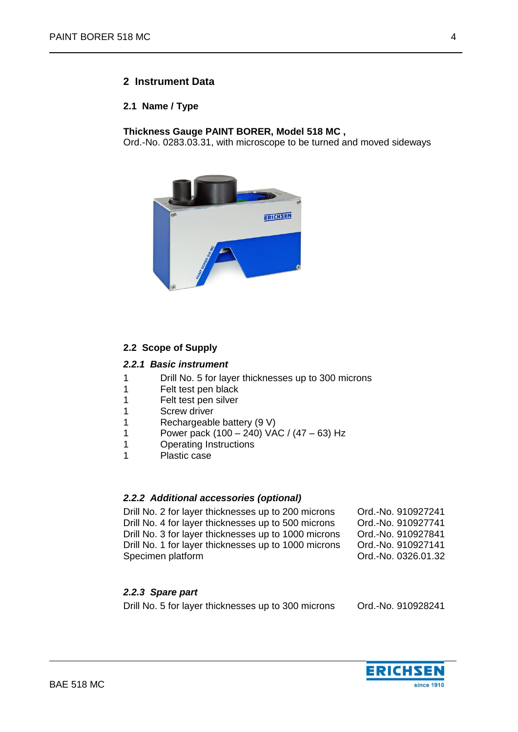# <span id="page-3-0"></span>**2 Instrument Data**

#### <span id="page-3-1"></span>**2.1 Name / Type**

**Thickness Gauge PAINT BORER, Model 518 MC ,**

Ord.-No. 0283.03.31, with microscope to be turned and moved sideways



# <span id="page-3-2"></span>**2.2 Scope of Supply**

#### <span id="page-3-3"></span>*2.2.1 Basic instrument*

- 1 Drill No. 5 for layer thicknesses up to 300 microns
- 1 Felt test pen black
- 1 Felt test pen silver
- 1 Screw driver
- 1 Rechargeable battery (9 V)<br>1 Power pack (100 240) VA
- Power pack  $(100 240)$  VAC /  $(47 63)$  Hz
- 1 Operating Instructions
- 1 Plastic case

# <span id="page-3-4"></span>*2.2.2 Additional accessories (optional)*

Drill No. 2 for layer thicknesses up to 200 microns Ord.-No. 910927241 Drill No. 4 for layer thicknesses up to 500 microns Ord.-No. 910927741 Drill No. 3 for layer thicknesses up to 1000 microns Ord.-No. 910927841 Drill No. 1 for layer thicknesses up to 1000 microns Ord.-No. 910927141 Specimen platform Controller Controller Controller Controller Controller Controller Controller Controller Controller Controller Controller Controller Controller Controller Controller Controller Controller Controller Contro

# <span id="page-3-5"></span>*2.2.3 Spare part*

Drill No. 5 for layer thicknesses up to 300 microns Ord.-No. 910928241

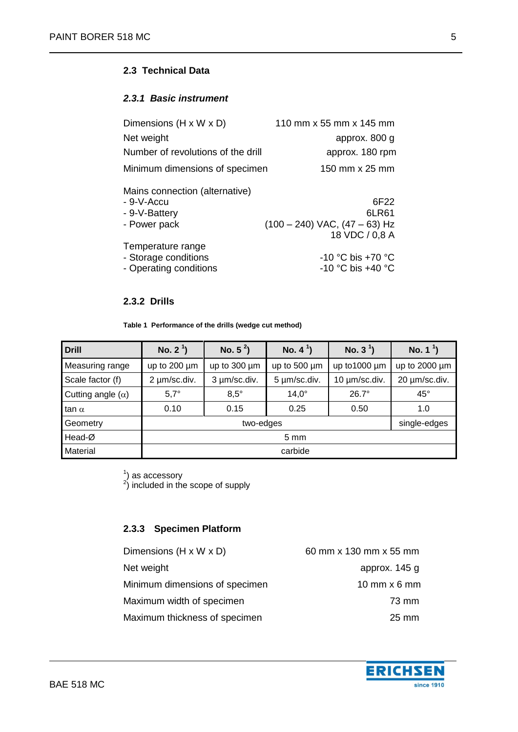# <span id="page-4-0"></span>**2.3 Technical Data**

## <span id="page-4-1"></span>*2.3.1 Basic instrument*

| Dimensions $(H \times W \times D)$                                            | 110 mm x 55 mm x 145 mm                                              |
|-------------------------------------------------------------------------------|----------------------------------------------------------------------|
| Net weight                                                                    | approx. 800 g                                                        |
| Number of revolutions of the drill                                            | approx. 180 rpm                                                      |
| Minimum dimensions of specimen                                                | 150 mm x 25 mm                                                       |
| Mains connection (alternative)<br>- 9-V-Accu<br>- 9-V-Battery<br>- Power pack | 6F22<br>6LR61<br>$(100 - 240)$ VAC, $(47 - 63)$ Hz<br>18 VDC / 0.8 A |
| Temperature range<br>- Storage conditions<br>- Operating conditions           | -10 °C bis +70 °C<br>-10 °C bis +40 °C                               |

## **2.3.2 Drills**

**Table 1 Performance of the drills (wedge cut method)**

<span id="page-4-2"></span>

| <b>Drill</b>             | No. $2^1$ )       | No. $5^2$ )       | No. $4^1$ )  | No. $3^1$ )   | No. $1^1$ )   |  |  |
|--------------------------|-------------------|-------------------|--------------|---------------|---------------|--|--|
| Measuring range          | up to $200 \mu m$ | up to $300 \mu m$ | up to 500 µm | up to 1000 um | up to 2000 um |  |  |
| Scale factor (f)         | 2 µm/sc.div.      | 3 µm/sc.div.      | 5 µm/sc.div. | 10 µm/sc.div. | 20 µm/sc.div. |  |  |
| Cutting angle $(\alpha)$ | $5,7^\circ$       | $8,5^{\circ}$     | $14.0^\circ$ | $26.7^\circ$  | $45^\circ$    |  |  |
| tan $\alpha$             | 0.10              | 0.15              | 0.25         | 0.50          | 1.0           |  |  |
| Geometry                 |                   | single-edges      |              |               |               |  |  |
| Head-Ø                   | $5 \text{ mm}$    |                   |              |               |               |  |  |
| Material                 | carbide           |                   |              |               |               |  |  |

 $^{1}_{2}$ ) as accessory<br> $^{2}_{2}$  included in the scope of supply

# <span id="page-4-3"></span>**2.3.3 Specimen Platform**

Dimensions  $(H \times W \times D)$  60 mm x 130 mm x 55 mm Net weight approx. 145 g Minimum dimensions of specimen 10 mm x 6 mm Maximum width of specimen **73 mm** Maximum thickness of specimen 25 mm

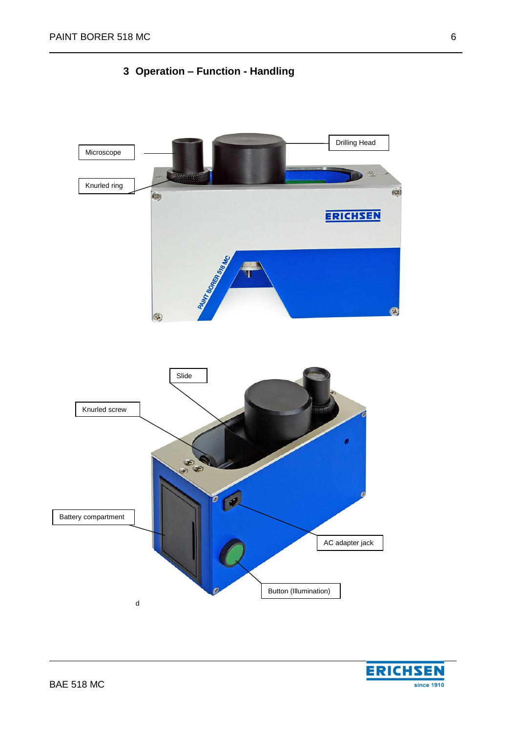

<span id="page-5-0"></span>

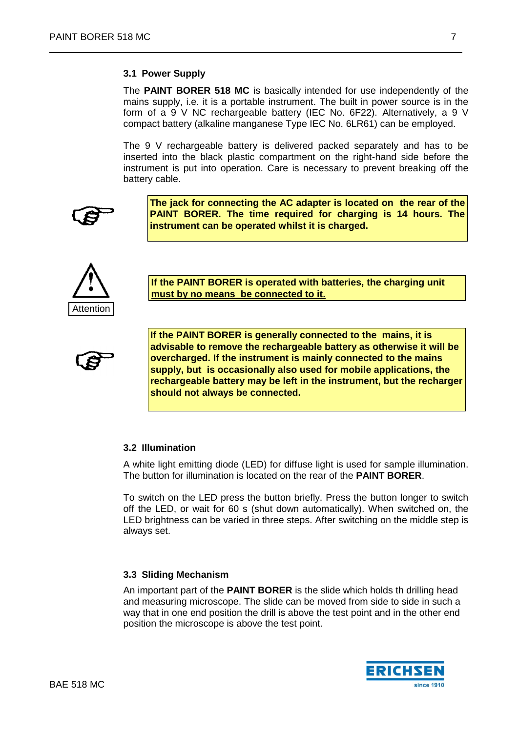## <span id="page-6-0"></span>**3.1 Power Supply**

The **PAINT BORER 518 MC** is basically intended for use independently of the mains supply, i.e. it is a portable instrument. The built in power source is in the form of a 9 V NC rechargeable battery (IEC No. 6F22). Alternatively, a 9 V compact battery (alkaline manganese Type IEC No. 6LR61) can be employed.

The 9 V rechargeable battery is delivered packed separately and has to be inserted into the black plastic compartment on the right-hand side before the instrument is put into operation. Care is necessary to prevent breaking off the battery cable.

**The jack for connecting the AC adapter is located on the rear of the PAINT BORER. The time required for charging is 14 hours. The instrument can be operated whilst it is charged.**



**If the PAINT BORER is operated with batteries, the charging unit must by no means be connected to it.**

**If the PAINT BORER is generally connected to the mains, it is advisable to remove the rechargeable battery as otherwise it will be overcharged. If the instrument is mainly connected to the mains supply, but is occasionally also used for mobile applications, the rechargeable battery may be left in the instrument, but the recharger should not always be connected.**

# <span id="page-6-1"></span>**3.2 Illumination**

A white light emitting diode (LED) for diffuse light is used for sample illumination. The button for illumination is located on the rear of the **PAINT BORER**.

To switch on the LED press the button briefly. Press the button longer to switch off the LED, or wait for 60 s (shut down automatically). When switched on, the LED brightness can be varied in three steps. After switching on the middle step is always set.

#### <span id="page-6-2"></span>**3.3 Sliding Mechanism**

An important part of the **PAINT BORER** is the slide which holds th drilling head and measuring microscope. The slide can be moved from side to side in such a way that in one end position the drill is above the test point and in the other end position the microscope is above the test point.

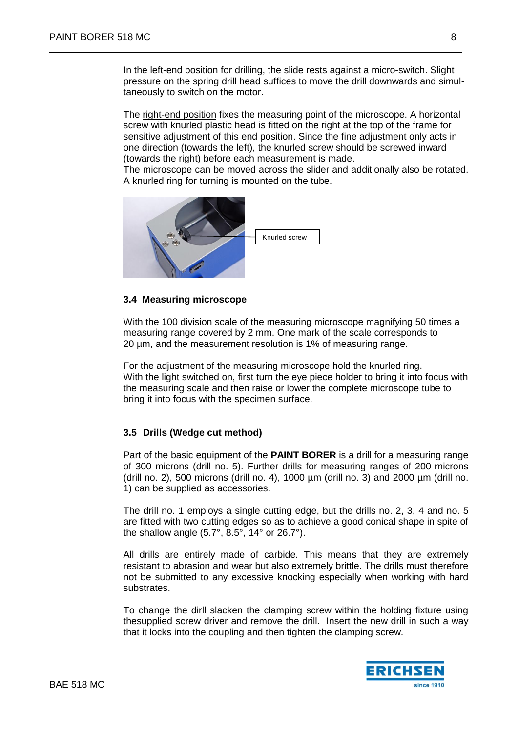In the left-end position for drilling, the slide rests against a micro-switch. Slight pressure on the spring drill head suffices to move the drill downwards and simultaneously to switch on the motor.

The right-end position fixes the measuring point of the microscope. A horizontal screw with knurled plastic head is fitted on the right at the top of the frame for sensitive adjustment of this end position. Since the fine adjustment only acts in one direction (towards the left), the knurled screw should be screwed inward (towards the right) before each measurement is made.

The microscope can be moved across the slider and additionally also be rotated. A knurled ring for turning is mounted on the tube.



#### <span id="page-7-0"></span>**3.4 Measuring microscope**

With the 100 division scale of the measuring microscope magnifying 50 times a measuring range covered by 2 mm. One mark of the scale corresponds to 20 µm, and the measurement resolution is 1% of measuring range.

For the adjustment of the measuring microscope hold the knurled ring. With the light switched on, first turn the eye piece holder to bring it into focus with the measuring scale and then raise or lower the complete microscope tube to bring it into focus with the specimen surface.

# <span id="page-7-1"></span>**3.5 Drills (Wedge cut method)**

Part of the basic equipment of the **PAINT BORER** is a drill for a measuring range of 300 microns (drill no. 5). Further drills for measuring ranges of 200 microns (drill no. 2), 500 microns (drill no. 4), 1000  $\mu$ m (drill no. 3) and 2000  $\mu$ m (drill no. 1) can be supplied as accessories.

The drill no. 1 employs a single cutting edge, but the drills no. 2, 3, 4 and no. 5 are fitted with two cutting edges so as to achieve a good conical shape in spite of the shallow angle (5.7°, 8.5°, 14° or 26.7°).

All drills are entirely made of carbide. This means that they are extremely resistant to abrasion and wear but also extremely brittle. The drills must therefore not be submitted to any excessive knocking especially when working with hard substrates.

To change the dirll slacken the clamping screw within the holding fixture using thesupplied screw driver and remove the drill. Insert the new drill in such a way that it locks into the coupling and then tighten the clamping screw.



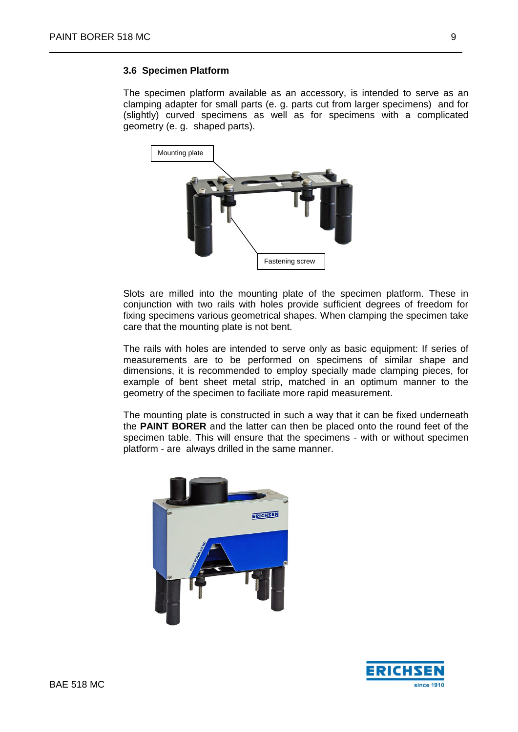# <span id="page-8-0"></span>**3.6 Specimen Platform**

The specimen platform available as an accessory, is intended to serve as an clamping adapter for small parts (e. g. parts cut from larger specimens) and for (slightly) curved specimens as well as for specimens with a complicated geometry (e. g. shaped parts).



Slots are milled into the mounting plate of the specimen platform. These in conjunction with two rails with holes provide sufficient degrees of freedom for fixing specimens various geometrical shapes. When clamping the specimen take care that the mounting plate is not bent.

The rails with holes are intended to serve only as basic equipment: If series of measurements are to be performed on specimens of similar shape and dimensions, it is recommended to employ specially made clamping pieces, for example of bent sheet metal strip, matched in an optimum manner to the geometry of the specimen to faciliate more rapid measurement.

The mounting plate is constructed in such a way that it can be fixed underneath the **PAINT BORER** and the latter can then be placed onto the round feet of the specimen table. This will ensure that the specimens - with or without specimen platform - are always drilled in the same manner.



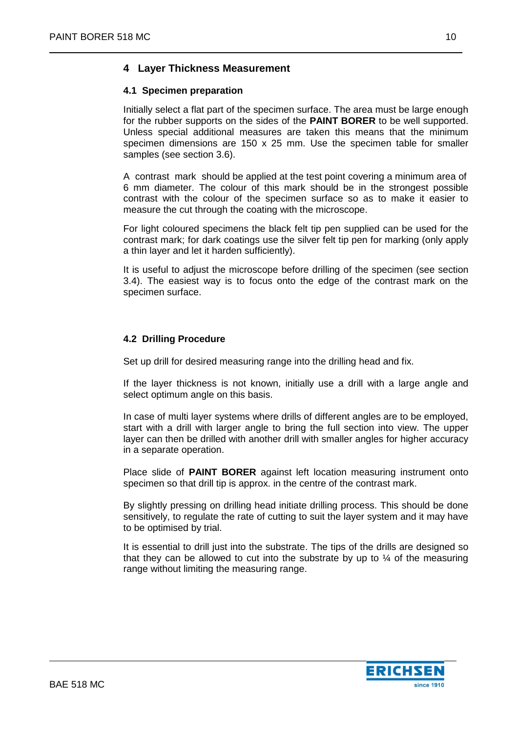# <span id="page-9-0"></span>**4 Layer Thickness Measurement**

# <span id="page-9-1"></span>**4.1 Specimen preparation**

Initially select a flat part of the specimen surface. The area must be large enough for the rubber supports on the sides of the **PAINT BORER** to be well supported. Unless special additional measures are taken this means that the minimum specimen dimensions are 150 x 25 mm. Use the specimen table for smaller samples (see section 3.6).

A contrast mark should be applied at the test point covering a minimum area of 6 mm diameter. The colour of this mark should be in the strongest possible contrast with the colour of the specimen surface so as to make it easier to measure the cut through the coating with the microscope.

For light coloured specimens the black felt tip pen supplied can be used for the contrast mark; for dark coatings use the silver felt tip pen for marking (only apply a thin layer and let it harden sufficiently).

It is useful to adjust the microscope before drilling of the specimen (see section 3.4). The easiest way is to focus onto the edge of the contrast mark on the specimen surface.

# <span id="page-9-2"></span>**4.2 Drilling Procedure**

Set up drill for desired measuring range into the drilling head and fix.

If the layer thickness is not known, initially use a drill with a large angle and select optimum angle on this basis.

In case of multi layer systems where drills of different angles are to be employed, start with a drill with larger angle to bring the full section into view. The upper layer can then be drilled with another drill with smaller angles for higher accuracy in a separate operation.

Place slide of **PAINT BORER** against left location measuring instrument onto specimen so that drill tip is approx. in the centre of the contrast mark.

By slightly pressing on drilling head initiate drilling process. This should be done sensitively, to regulate the rate of cutting to suit the layer system and it may have to be optimised by trial.

It is essential to drill just into the substrate. The tips of the drills are designed so that they can be allowed to cut into the substrate by up to  $\frac{1}{4}$  of the measuring range without limiting the measuring range.

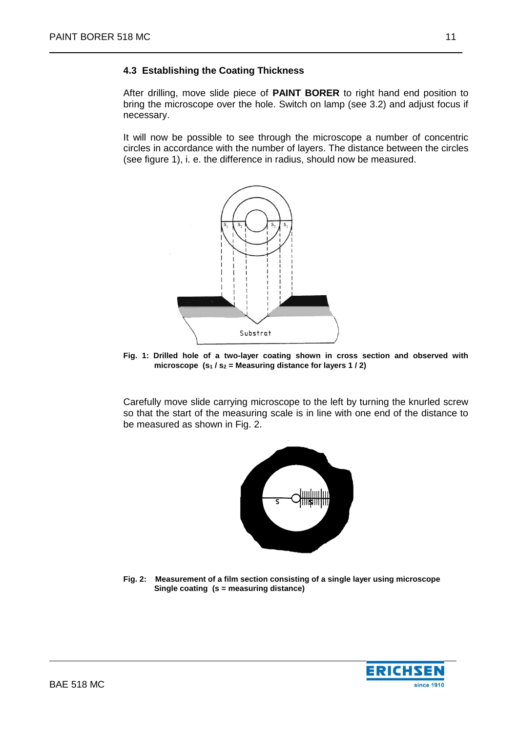# <span id="page-10-0"></span>**4.3 Establishing the Coating Thickness**

After drilling, move slide piece of **PAINT BORER** to right hand end position to bring the microscope over the hole. Switch on lamp (see 3.2) and adjust focus if necessary.

It will now be possible to see through the microscope a number of concentric circles in accordance with the number of layers. The distance between the circles (see figure 1), i. e. the difference in radius, should now be measured.



**Fig. 1: Drilled hole of a two-layer coating shown in cross section and observed with microscope (s<sup>1</sup> / s<sup>2</sup> = Measuring distance for layers 1 / 2)**

Carefully move slide carrying microscope to the left by turning the knurled screw so that the start of the measuring scale is in line with one end of the distance to be measured as shown in Fig. 2.



**Fig. 2: Measurement of a film section consisting of a single layer using microscope Single coating (s = measuring distance)** 

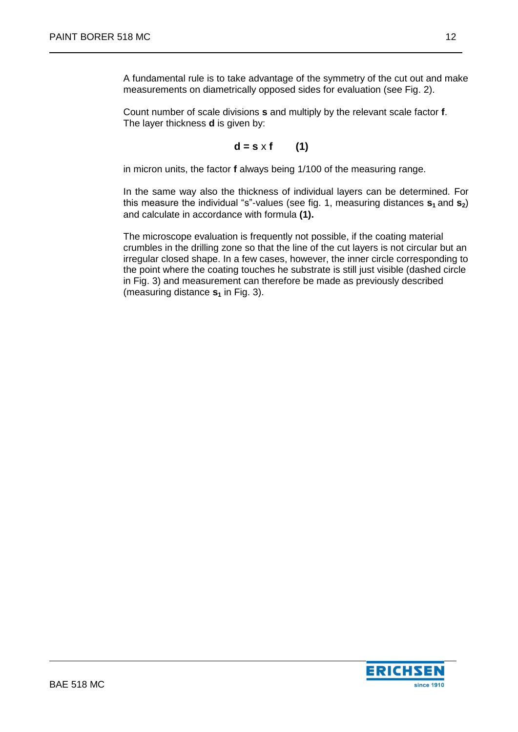A fundamental rule is to take advantage of the symmetry of the cut out and make measurements on diametrically opposed sides for evaluation (see Fig. 2).

Count number of scale divisions **s** and multiply by the relevant scale factor **f**. The layer thickness **d** is given by:

$$
d = s \times f \qquad (1)
$$

in micron units, the factor **f** always being 1/100 of the measuring range.

In the same way also the thickness of individual layers can be determined. For this measure the individual "s"-values (see fig. 1, measuring distances **s<sup>1</sup>** and **s2**) and calculate in accordance with formula **(1).**

The microscope evaluation is frequently not possible, if the coating material crumbles in the drilling zone so that the line of the cut layers is not circular but an irregular closed shape. In a few cases, however, the inner circle corresponding to the point where the coating touches he substrate is still just visible (dashed circle in Fig. 3) and measurement can therefore be made as previously described (measuring distance **s<sup>1</sup>** in Fig. 3).

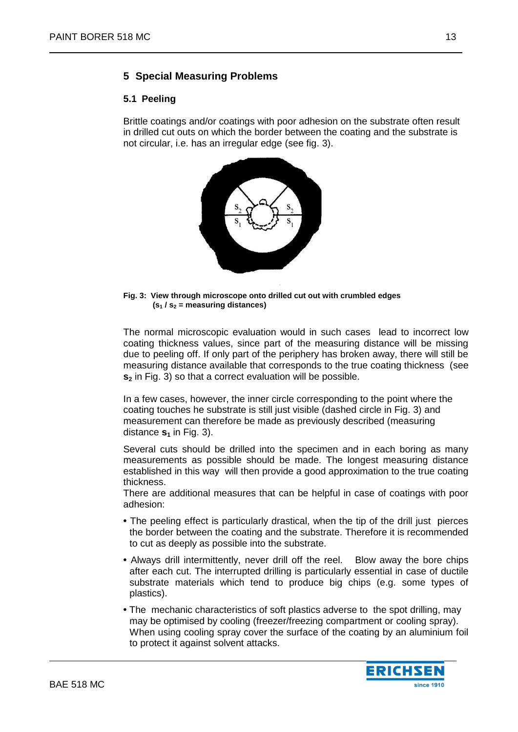# <span id="page-12-0"></span>**5 Special Measuring Problems**

## <span id="page-12-1"></span>**5.1 Peeling**

Brittle coatings and/or coatings with poor adhesion on the substrate often result in drilled cut outs on which the border between the coating and the substrate is not circular, i.e. has an irregular edge (see fig. 3).



**Fig. 3: View through microscope onto drilled cut out with crumbled edges (s<sup>1</sup> / s<sup>2</sup> = measuring distances)**

The normal microscopic evaluation would in such cases lead to incorrect low coating thickness values, since part of the measuring distance will be missing due to peeling off. If only part of the periphery has broken away, there will still be measuring distance available that corresponds to the true coating thickness (see **s<sup>2</sup>** in Fig. 3) so that a correct evaluation will be possible.

In a few cases, however, the inner circle corresponding to the point where the coating touches he substrate is still just visible (dashed circle in Fig. 3) and measurement can therefore be made as previously described (measuring distance  $s_1$  in Fig. 3).

Several cuts should be drilled into the specimen and in each boring as many measurements as possible should be made. The longest measuring distance established in this way will then provide a good approximation to the true coating thickness.

There are additional measures that can be helpful in case of coatings with poor adhesion:

- The peeling effect is particularly drastical, when the tip of the drill just pierces the border between the coating and the substrate. Therefore it is recommended to cut as deeply as possible into the substrate.
- Always drill intermittently, never drill off the reel. Blow away the bore chips after each cut. The interrupted drilling is particularly essential in case of ductile substrate materials which tend to produce big chips (e.g. some types of plastics).
- The mechanic characteristics of soft plastics adverse to the spot drilling, may may be optimised by cooling (freezer/freezing compartment or cooling spray). When using cooling spray cover the surface of the coating by an aluminium foil to protect it against solvent attacks.

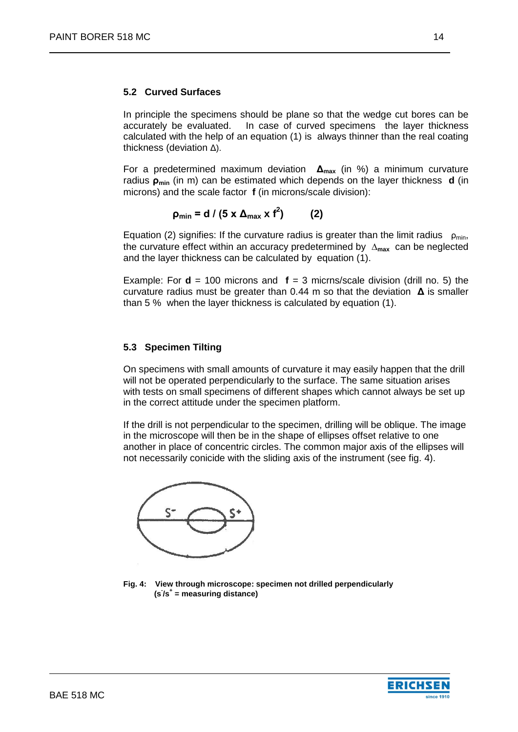## <span id="page-13-0"></span>**5.2 Curved Surfaces**

In principle the specimens should be plane so that the wedge cut bores can be accurately be evaluated. In case of curved specimens the layer thickness calculated with the help of an equation (1) is always thinner than the real coating thickness (deviation Δ).

For a predetermined maximum deviation **Δmax** (in %) a minimum curvature radius **ρmin** (in m) can be estimated which depends on the layer thickness **d** (in microns) and the scale factor **f** (in microns/scale division):

> *ρ***<sub>min</sub> = d / (5 x**  $Δ$ **<sub>max</sub> x f<sup>2</sup>) ) (2)**

Equation (2) signifies: If the curvature radius is greater than the limit radius  $\rho_{min}$ . the curvature effect within an accuracy predetermined by **∆max** can be neglected and the layer thickness can be calculated by equation (1).

Example: For  $\mathbf{d} = 100$  microns and  $\mathbf{f} = 3$  micrns/scale division (drill no. 5) the curvature radius must be greater than 0.44 m so that the deviation **Δ** is smaller than 5 % when the layer thickness is calculated by equation (1).

# <span id="page-13-1"></span>**5.3 Specimen Tilting**

On specimens with small amounts of curvature it may easily happen that the drill will not be operated perpendicularly to the surface. The same situation arises with tests on small specimens of different shapes which cannot always be set up in the correct attitude under the specimen platform.

If the drill is not perpendicular to the specimen, drilling will be oblique. The image in the microscope will then be in the shape of ellipses offset relative to one another in place of concentric circles. The common major axis of the ellipses will not necessarily conicide with the sliding axis of the instrument (see fig. 4).



**Fig. 4: View through microscope: specimen not drilled perpendicularly (s- /s+ = measuring distance)**

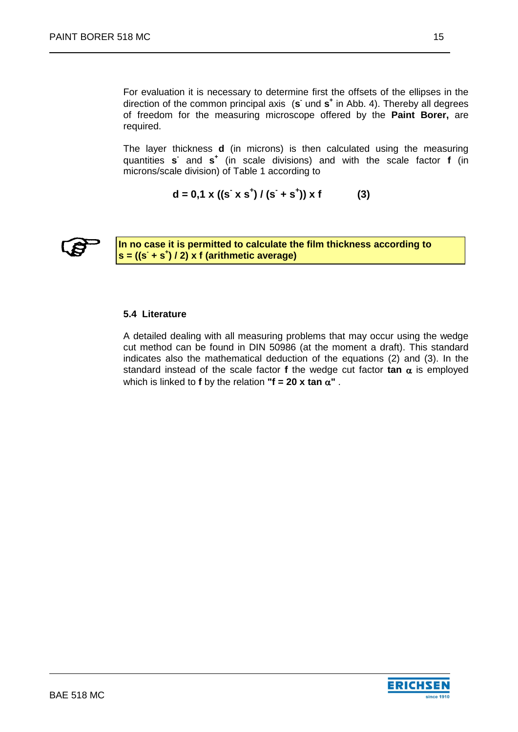For evaluation it is necessary to determine first the offsets of the ellipses in the direction of the common principal axis (s und s<sup>+</sup> in Abb. 4). Thereby all degrees of freedom for the measuring microscope offered by the **Paint Borer,** are required.

The layer thickness **d** (in microns) is then calculated using the measuring quantities s<sup>2</sup> and s<sup>+</sup> (in scale divisions) and with the scale factor f (in microns/scale division) of Table 1 according to

$$
d = 0.1 \times ((s^{\cdot} \times s^{\cdot}) / (s^{\cdot} + s^{\cdot})) \times f
$$
 (3)

<span id="page-14-0"></span>

**In no case it is permitted to calculate the film thickness according to s = ((s- + s + ) / 2) x f (arithmetic average)** 

#### **5.4 Literature**

A detailed dealing with all measuring problems that may occur using the wedge cut method can be found in DIN 50986 (at the moment a draft). This standard indicates also the mathematical deduction of the equations (2) and (3). In the standard instead of the scale factor **f** the wedge cut factor **tan**  $\alpha$  is employed which is linked to **f** by the relation "**f = 20 x tan**  $\alpha$ ".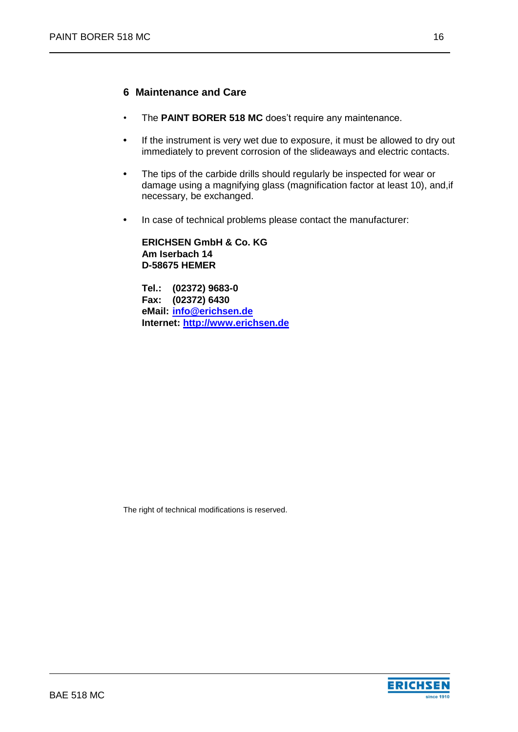# <span id="page-15-0"></span>**6 Maintenance and Care**

- The PAINT BORER 518 MC does't require any maintenance.
- **•** If the instrument is very wet due to exposure, it must be allowed to dry out immediately to prevent corrosion of the slideaways and electric contacts.
- The tips of the carbide drills should regularly be inspected for wear or damage using a magnifying glass (magnification factor at least 10), and,if necessary, be exchanged.
- In case of technical problems please contact the manufacturer:

**ERICHSEN GmbH & Co. KG Am Iserbach 14 D-58675 HEMER**

**Tel.: (02372) 9683-0 Fax: (02372) 6430 eMail: [info@erichsen.de](mailto:info@erichsen.de) Internet: [http://www.erichsen.de](http://www.erichsen.de/)**

The right of technical modifications is reserved.